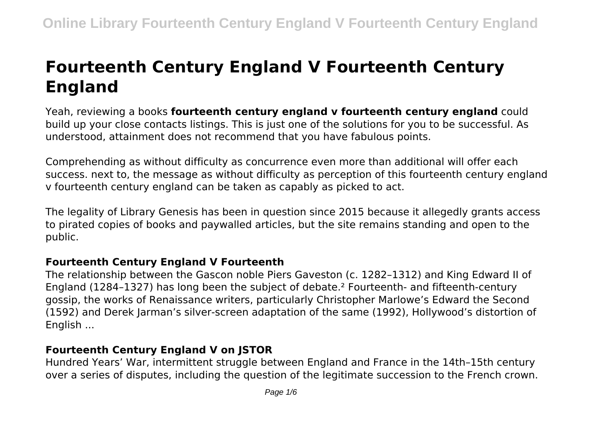# **Fourteenth Century England V Fourteenth Century England**

Yeah, reviewing a books **fourteenth century england v fourteenth century england** could build up your close contacts listings. This is just one of the solutions for you to be successful. As understood, attainment does not recommend that you have fabulous points.

Comprehending as without difficulty as concurrence even more than additional will offer each success. next to, the message as without difficulty as perception of this fourteenth century england v fourteenth century england can be taken as capably as picked to act.

The legality of Library Genesis has been in question since 2015 because it allegedly grants access to pirated copies of books and paywalled articles, but the site remains standing and open to the public.

# **Fourteenth Century England V Fourteenth**

The relationship between the Gascon noble Piers Gaveston (c. 1282–1312) and King Edward II of England (1284–1327) has long been the subject of debate.² Fourteenth- and fifteenth-century gossip, the works of Renaissance writers, particularly Christopher Marlowe's Edward the Second (1592) and Derek Jarman's silver-screen adaptation of the same (1992), Hollywood's distortion of English ...

# **Fourteenth Century England V on JSTOR**

Hundred Years' War, intermittent struggle between England and France in the 14th–15th century over a series of disputes, including the question of the legitimate succession to the French crown.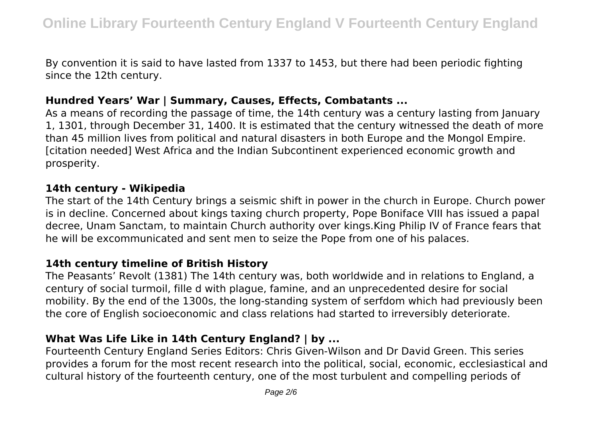By convention it is said to have lasted from 1337 to 1453, but there had been periodic fighting since the 12th century.

### **Hundred Years' War | Summary, Causes, Effects, Combatants ...**

As a means of recording the passage of time, the 14th century was a century lasting from January 1, 1301, through December 31, 1400. It is estimated that the century witnessed the death of more than 45 million lives from political and natural disasters in both Europe and the Mongol Empire. [citation needed] West Africa and the Indian Subcontinent experienced economic growth and prosperity.

#### **14th century - Wikipedia**

The start of the 14th Century brings a seismic shift in power in the church in Europe. Church power is in decline. Concerned about kings taxing church property, Pope Boniface VIII has issued a papal decree, Unam Sanctam, to maintain Church authority over kings.King Philip IV of France fears that he will be excommunicated and sent men to seize the Pope from one of his palaces.

#### **14th century timeline of British History**

The Peasants' Revolt (1381) The 14th century was, both worldwide and in relations to England, a century of social turmoil, fille d with plague, famine, and an unprecedented desire for social mobility. By the end of the 1300s, the long-standing system of serfdom which had previously been the core of English socioeconomic and class relations had started to irreversibly deteriorate.

# **What Was Life Like in 14th Century England? | by ...**

Fourteenth Century England Series Editors: Chris Given-Wilson and Dr David Green. This series provides a forum for the most recent research into the political, social, economic, ecclesiastical and cultural history of the fourteenth century, one of the most turbulent and compelling periods of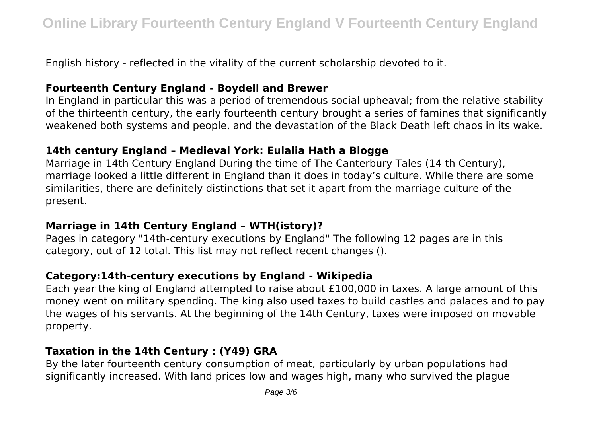English history - reflected in the vitality of the current scholarship devoted to it.

#### **Fourteenth Century England - Boydell and Brewer**

In England in particular this was a period of tremendous social upheaval; from the relative stability of the thirteenth century, the early fourteenth century brought a series of famines that significantly weakened both systems and people, and the devastation of the Black Death left chaos in its wake.

# **14th century England – Medieval York: Eulalia Hath a Blogge**

Marriage in 14th Century England During the time of The Canterbury Tales (14 th Century), marriage looked a little different in England than it does in today's culture. While there are some similarities, there are definitely distinctions that set it apart from the marriage culture of the present.

# **Marriage in 14th Century England – WTH(istory)?**

Pages in category "14th-century executions by England" The following 12 pages are in this category, out of 12 total. This list may not reflect recent changes ().

# **Category:14th-century executions by England - Wikipedia**

Each year the king of England attempted to raise about £100,000 in taxes. A large amount of this money went on military spending. The king also used taxes to build castles and palaces and to pay the wages of his servants. At the beginning of the 14th Century, taxes were imposed on movable property.

# **Taxation in the 14th Century : (Y49) GRA**

By the later fourteenth century consumption of meat, particularly by urban populations had significantly increased. With land prices low and wages high, many who survived the plague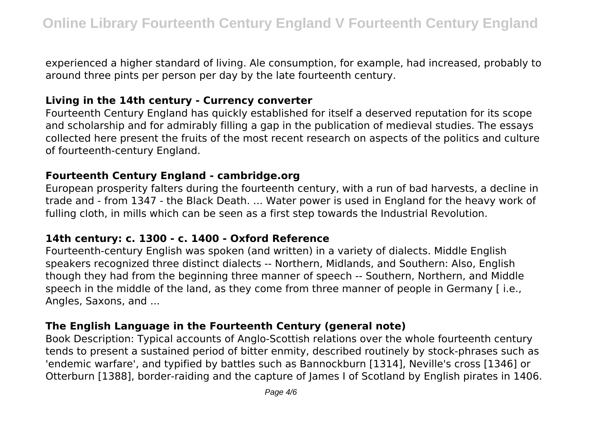experienced a higher standard of living. Ale consumption, for example, had increased, probably to around three pints per person per day by the late fourteenth century.

### **Living in the 14th century - Currency converter**

Fourteenth Century England has quickly established for itself a deserved reputation for its scope and scholarship and for admirably filling a gap in the publication of medieval studies. The essays collected here present the fruits of the most recent research on aspects of the politics and culture of fourteenth-century England.

#### **Fourteenth Century England - cambridge.org**

European prosperity falters during the fourteenth century, with a run of bad harvests, a decline in trade and - from 1347 - the Black Death. ... Water power is used in England for the heavy work of fulling cloth, in mills which can be seen as a first step towards the Industrial Revolution.

# **14th century: c. 1300 - c. 1400 - Oxford Reference**

Fourteenth-century English was spoken (and written) in a variety of dialects. Middle English speakers recognized three distinct dialects -- Northern, Midlands, and Southern: Also, English though they had from the beginning three manner of speech -- Southern, Northern, and Middle speech in the middle of the land, as they come from three manner of people in Germany [ i.e., Angles, Saxons, and ...

# **The English Language in the Fourteenth Century (general note)**

Book Description: Typical accounts of Anglo-Scottish relations over the whole fourteenth century tends to present a sustained period of bitter enmity, described routinely by stock-phrases such as 'endemic warfare', and typified by battles such as Bannockburn [1314], Neville's cross [1346] or Otterburn [1388], border-raiding and the capture of James I of Scotland by English pirates in 1406.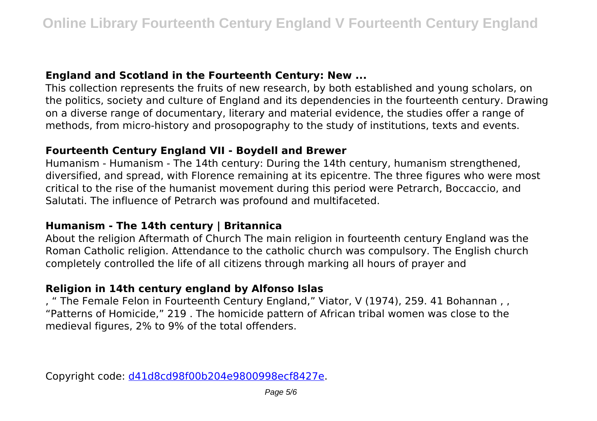# **England and Scotland in the Fourteenth Century: New ...**

This collection represents the fruits of new research, by both established and young scholars, on the politics, society and culture of England and its dependencies in the fourteenth century. Drawing on a diverse range of documentary, literary and material evidence, the studies offer a range of methods, from micro-history and prosopography to the study of institutions, texts and events.

# **Fourteenth Century England VII - Boydell and Brewer**

Humanism - Humanism - The 14th century: During the 14th century, humanism strengthened, diversified, and spread, with Florence remaining at its epicentre. The three figures who were most critical to the rise of the humanist movement during this period were Petrarch, Boccaccio, and Salutati. The influence of Petrarch was profound and multifaceted.

# **Humanism - The 14th century | Britannica**

About the religion Aftermath of Church The main religion in fourteenth century England was the Roman Catholic religion. Attendance to the catholic church was compulsory. The English church completely controlled the life of all citizens through marking all hours of prayer and

# **Religion in 14th century england by Alfonso Islas**

, " The Female Felon in Fourteenth Century England," Viator, V (1974), 259. 41 Bohannan , , "Patterns of Homicide," 219 . The homicide pattern of African tribal women was close to the medieval figures, 2% to 9% of the total offenders.

Copyright code: [d41d8cd98f00b204e9800998ecf8427e.](/sitemap.xml)